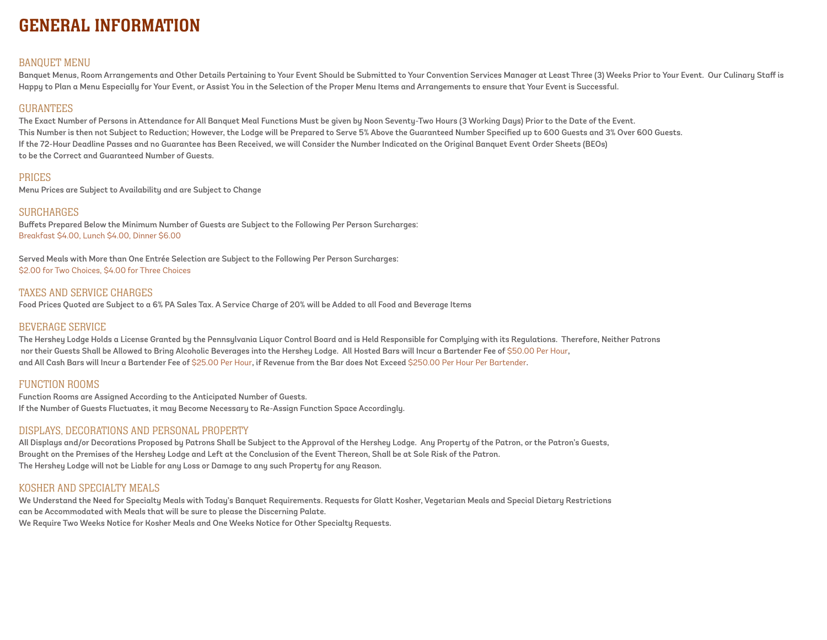# GENERAL INFORMATION

## BANQUET MENU

Banquet Menus, Room Arrangements and Other Details Pertaining to Your Event Should be Submitted to Your Convention Services Manager at Least Three (3) Weeks Prior to Your Event. Our Culinary Staff is Happy to Plan a Menu Especially for Your Event, or Assist You in the Selection of the Proper Menu Items and Arrangements to ensure that Your Event is Successful.

## GURANTEES

The Exact Number of Persons in Attendance for All Banquet Meal Functions Must be given by Noon Seventy-Two Hours (3 Working Days) Prior to the Date of the Event. This Number is then not Subject to Reduction; However, the Lodge will be Prepared to Serve 5% Above the Guaranteed Number Specified up to 600 Guests and 3% Over 600 Guests. If the 72-Hour Deadline Passes and no Guarantee has Been Received, we will Consider the Number Indicated on the Original Banquet Event Order Sheets (BEOs) to be the Correct and Guaranteed Number of Guests.

## **PRICES**

Menu Prices are Subject to Availability and are Subject to Change

## SURCHARGES

Buffets Prepared Below the Minimum Number of Guests are Subject to the Following Per Person Surcharges: Breakfast \$4.00, Lunch \$4.00, Dinner \$6.00

Served Meals with More than One Entrée Selection are Subject to the Following Per Person Surcharges: \$2.00 for Two Choices, \$4.00 for Three Choices

### TAXES AND SERVICE CHARGES

Food Prices Quoted are Subject to a 6% PA Sales Tax. A Service Charge of 20% will be Added to all Food and Beverage Items

## BEVERAGE SERVICE

The Hershey Lodge Holds a License Granted by the Pennsylvania Liquor Control Board and is Held Responsible for Complying with its Regulations. Therefore, Neither Patrons nor their Guests Shall be Allowed to Bring Alcoholic Beverages into the Hershey Lodge. All Hosted Bars will Incur a Bartender Fee of \$50.00 Per Hour, and All Cash Bars will Incur a Bartender Fee of \$25.00 Per Hour, if Revenue from the Bar does Not Exceed \$250.00 Per Hour Per Bartender.

## FUNCTION ROOMS

Function Rooms are Assigned According to the Anticipated Number of Guests. If the Number of Guests Fluctuates, it may Become Necessary to Re-Assign Function Space Accordingly.

## DISPLAYS, DECORATIONS AND PERSONAL PROPERTY

All Displays and/or Decorations Proposed by Patrons Shall be Subject to the Approval of the Hershey Lodge. Any Property of the Patron, or the Patron's Guests, Brought on the Premises of the Hershey Lodge and Left at the Conclusion of the Event Thereon, Shall be at Sole Risk of the Patron. The Hershey Lodge will not be Liable for any Loss or Damage to any such Property for any Reason.

## KOSHER AND SPECIALTY MEALS

We Understand the Need for Specialty Meals with Today's Banquet Requirements. Requests for Glatt Kosher, Vegetarian Meals and Special Dietary Restrictions can be Accommodated with Meals that will be sure to please the Discerning Palate. We Require Two Weeks Notice for Kosher Meals and One Weeks Notice for Other Specialty Requests.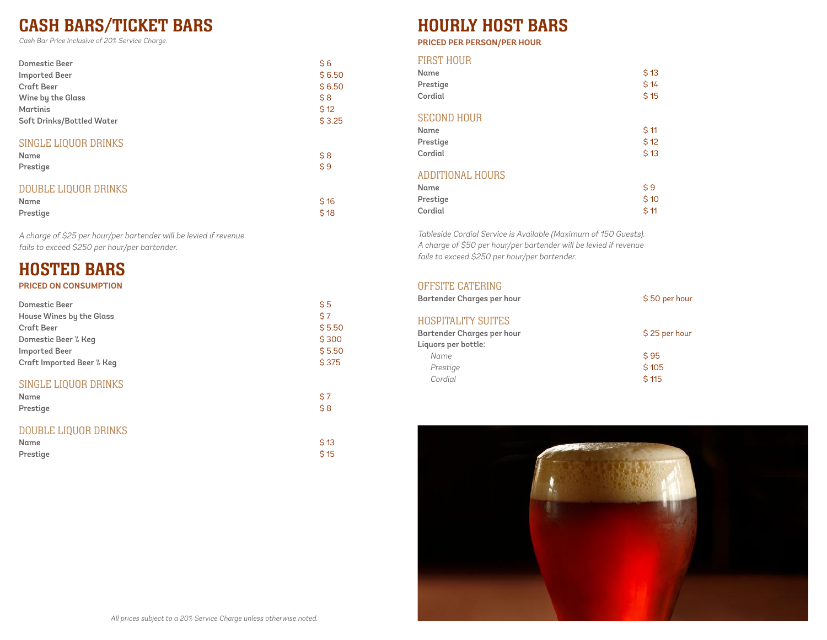# CASH BARS/TICKET BARS

Cash Bar Price Inclusive of 20% Service Charge.

| Domestic Beer             | \$6    |
|---------------------------|--------|
| <b>Imported Beer</b>      | \$6.50 |
| <b>Craft Beer</b>         | \$6.50 |
| Wine by the Glass         | \$8    |
| Martinis                  | \$12   |
| Soft Drinks/Bottled Water | \$3.25 |
|                           |        |

## SINGLE LIQUOR DRINKS

| Name     | \$8 |
|----------|-----|
| Prestige | \$9 |
|          |     |

## DOUBLE LIQUOR DRINKS

| Name     | \$16 |
|----------|------|
| Prestige | \$18 |

A charge of \$25 per hour/per bartender will be levied if r<sup>e</sup>venu<sup>e</sup> <sup>f</sup>ails to exceed \$250 per hour/per bartender.

# HOSTED BARS

## **PRICED ON CONSUMPTION**

| Domestic Beer                            | \$5        |
|------------------------------------------|------------|
| House Wines by the Glass                 | \$7        |
| <b>Craft Beer</b>                        | \$5.50     |
| Domestic Beer % Keq                      | \$300      |
| <b>Imported Beer</b>                     | \$5.50     |
| Craft Imported Beer % Keq                | \$375      |
| SINGLE LIQUOR DRINKS<br>Name<br>Prestige | \$7<br>\$8 |

# DOUBLE LIQUOR DRINKS

| Name     | \$13 |
|----------|------|
| Prestige | \$15 |

# HOURLY HOST BARS

## **PRICED PER PERSON/PER HOUR**

## FIRST HOUR

| Name<br>Prestige<br>Cordial                       | \$13<br>\$14<br>\$15 |
|---------------------------------------------------|----------------------|
| <b>SECOND HOUR</b><br>Name<br>Prestige<br>Cordial | \$11<br>\$12<br>\$13 |
| <b>ADDITIONAL HOURS</b><br>Name<br>Prestige       | \$9<br>\$10          |

Tableside Cordial Service is Available (Maximum of 150 Guests). A charge of \$50 per hour/per bartender will be levied if r<sup>e</sup>venu<sup>e</sup> <sup>f</sup>ails to exceed \$250 per hour/per bartender.

Cordial \$ 11

## OFFSITE CATERING

| <b>Bartender Charges per hour</b> | \$50 per hour |
|-----------------------------------|---------------|
| <b>HOSPITALITY SUITES</b>         |               |
| Bartender Charges per hour        | \$25 per hour |
| Liquors per bottle:               |               |
| Name                              | \$95          |
| Prestige                          | \$105         |
| Cordial                           | \$115         |

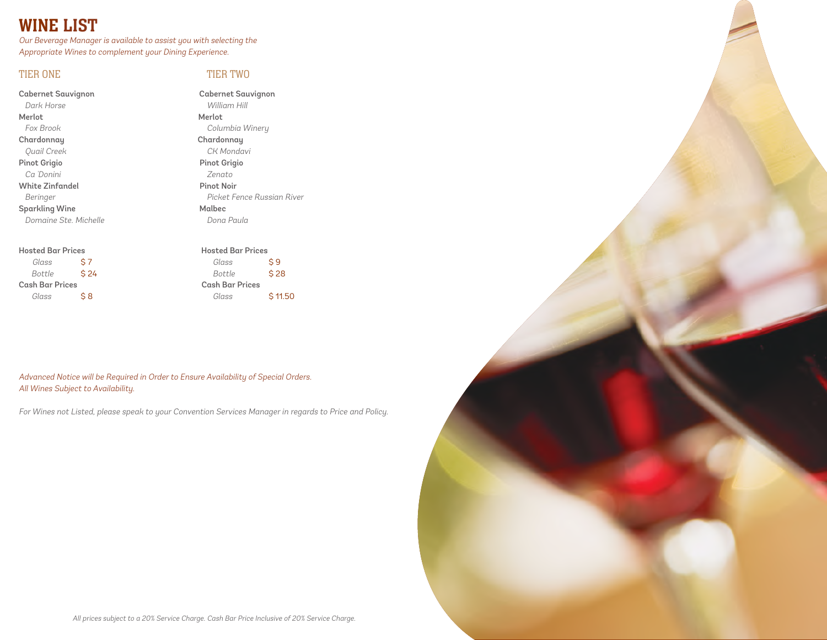# WINE LIST

Our B<sup>e</sup>verage Manager is av<sup>a</sup>ilable to assist you with selecting th<sup>e</sup> Appropriate Wines to complement your Dining Experience.

## TIER ONE TIER TWO

Cabernet Sauvignon Cabernet Sauvignon Dark Horse William Hill Merlot Merlot Fox Brook Columbia Winery Chardonnay Chardonnay Quail Cree<sup>k</sup> CK Mondavi Pinot Grigio **Pinot Grigio**  C<sup>a</sup> 'Donini Zenato White Zinfandel Pinot Noir Sparkling Wine Malbec

### Hosted Bar Prices Hosted Bar Prices

Glass  $$7$  Glass  $$9$ Cash Bar Prices Cash Bar Prices

Beringer **Picket Fence Russian River** Domaine Ste. Michelle Communication of Dona Paula

 $Bottle$   $$24$   $Bottle$   $$28$ Glass  $\angle$  \$ 8 Glass  $\angle$  11.50

Advanced Notice will be Required in Order to Ensure Availability of Special Orders. All Wines Subject to Availability.

For Wines not Listed, please speak to your Convention Services Manager in regards to Pric<sup>e</sup> <sup>a</sup>nd Policy.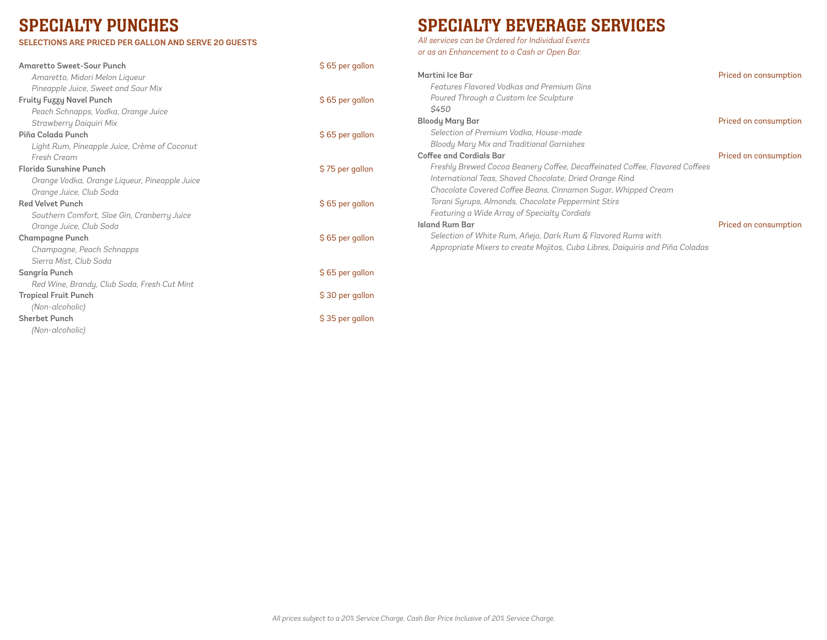# SPECIALTY PUNCHES

### **SELECTIONS ARE PRICED PER GALLON AND SERVE 20 GUESTS**

# SPECIALTY BEVERAGE SERVICES

All services can be Ordered for Individual Events or as an Enhancement to a Cash or Open Bar.

| <b>Amaretto Sweet-Sour Punch</b>              | \$65 per gallon |                                                                               |                       |
|-----------------------------------------------|-----------------|-------------------------------------------------------------------------------|-----------------------|
| Amaretto, Midori Melon Liqueur                |                 | Martini Ice Bar                                                               | Priced on consumption |
| Pineapple Juice, Sweet and Sour Mix           |                 | Features Flavored Vodkas and Premium Gins                                     |                       |
| <b>Fruity Fuzzy Navel Punch</b>               | \$65 per gallon | Poured Through a Custom Ice Sculpture                                         |                       |
| Peach Schnapps, Vodka, Orange Juice           |                 | \$450                                                                         |                       |
| Strawberry Daiquiri Mix                       |                 | <b>Bloody Mary Bar</b>                                                        | Priced on consumption |
| Piña Colada Punch                             | \$65 per gallon | Selection of Premium Vodka, House-made                                        |                       |
| Light Rum, Pineapple Juice, Crème of Coconut  |                 | Bloody Mary Mix and Traditional Garnishes                                     |                       |
| Fresh Cream                                   |                 | Coffee and Cordials Bar                                                       | Priced on consumption |
| Florida Sunshine Punch                        | \$75 per gallon | Freshly Brewed Cocoa Beanery Coffee, Decaffeinated Coffee, Flavored Coffees   |                       |
| Orange Vodka, Orange Liqueur, Pineapple Juice |                 | International Teas, Shaved Chocolate, Dried Orange Rind                       |                       |
| Orange Juice, Club Soda                       |                 | Chocolate Covered Coffee Beans, Cinnamon Sugar, Whipped Cream                 |                       |
| <b>Red Velvet Punch</b>                       | \$65 per gallon | Torani Syrups, Almonds, Chocolate Peppermint Stirs                            |                       |
| Southern Comfort, Sloe Gin, Cranberry Juice   |                 | Featuring a Wide Array of Specialty Cordials                                  |                       |
| Orange Juice, Club Soda                       |                 | Island Rum Bar                                                                | Priced on consumption |
| <b>Champagne Punch</b>                        | \$65 per gallon | Selection of White Rum, Añejo, Dark Rum & Flavored Rums with                  |                       |
| Champagne, Peach Schnapps                     |                 | Appropriate Mixers to create Mojitos, Cuba Libres, Daiguiris and Piña Coladas |                       |
| Sierra Mist. Club Soda                        |                 |                                                                               |                       |
| Sangría Punch                                 | \$65 per gallon |                                                                               |                       |
| Red Wine, Brandy, Club Soda, Fresh Cut Mint   |                 |                                                                               |                       |
| <b>Tropical Fruit Punch</b>                   | \$30 per gallon |                                                                               |                       |
| (Non-alcoholic)                               |                 |                                                                               |                       |
| <b>Sherbet Punch</b>                          | \$35 per gallon |                                                                               |                       |
| (Non-alcoholic)                               |                 |                                                                               |                       |
|                                               |                 |                                                                               |                       |